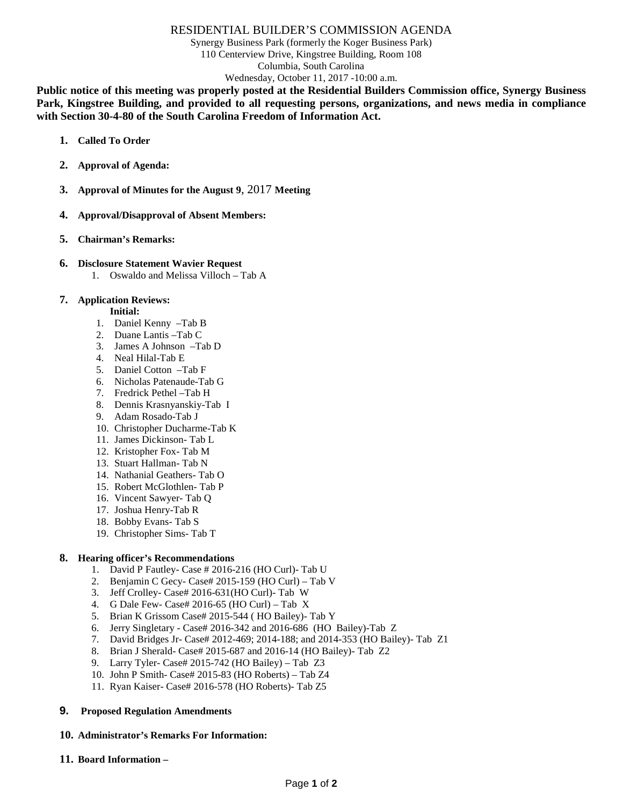# RESIDENTIAL BUILDER'S COMMISSION AGENDA

Synergy Business Park (formerly the Koger Business Park) 110 Centerview Drive, Kingstree Building, Room 108 Columbia, South Carolina Wednesday, October 11, 2017 -10:00 a.m.

**Public notice of this meeting was properly posted at the Residential Builders Commission office, Synergy Business Park, Kingstree Building, and provided to all requesting persons, organizations, and news media in compliance with Section 30-4-80 of the South Carolina Freedom of Information Act.**

- **1. Called To Order**
- **2. Approval of Agenda:**
- **3. Approval of Minutes for the August 9**, 2017 **Meeting**
- **4. Approval/Disapproval of Absent Members:**
- **5. Chairman's Remarks:**

### **6. Disclosure Statement Wavier Request**

1. Oswaldo and Melissa Villoch – Tab A

## **7. Application Reviews:**

- **Initial:**
- 1. Daniel Kenny –Tab B
- 2. Duane Lantis –Tab C
- 3. James A Johnson –Tab D
- 4. Neal Hilal-Tab E
- 5. Daniel Cotton –Tab F
- 6. Nicholas Patenaude-Tab G
- 7. Fredrick Pethel –Tab H
- 8. Dennis Krasnyanskiy-Tab I
- 9. Adam Rosado-Tab J
- 10. Christopher Ducharme-Tab K
- 11. James Dickinson- Tab L
- 12. Kristopher Fox- Tab M
- 13. Stuart Hallman- Tab N
- 14. Nathanial Geathers- Tab O
- 15. Robert McGlothlen- Tab P
- 16. Vincent Sawyer- Tab Q
- 17. Joshua Henry-Tab R
- 18. Bobby Evans- Tab S
- 19. Christopher Sims- Tab T

### **8. Hearing officer's Recommendations**

- 1. David P Fautley- Case # 2016-216 (HO Curl)- Tab U
- 2. Benjamin C Gecy- Case# 2015-159 (HO Curl) Tab V
- 3. Jeff Crolley- Case# 2016-631(HO Curl)- Tab W
- 4. G Dale Few- Case# 2016-65 (HO Curl) Tab X
- 5. Brian K Grissom Case# 2015-544 ( HO Bailey)- Tab Y
- 6. Jerry Singletary Case# 2016-342 and 2016-686 (HO Bailey)-Tab Z
- 7. David Bridges Jr- Case# 2012-469; 2014-188; and 2014-353 (HO Bailey)- Tab Z1
- 8. Brian J Sherald- Case# 2015-687 and 2016-14 (HO Bailey)- Tab Z2
- 9. Larry Tyler- Case# 2015-742 (HO Bailey) Tab Z3
- 10. John P Smith- Case# 2015-83 (HO Roberts) Tab Z4
- 11. Ryan Kaiser- Case# 2016-578 (HO Roberts)- Tab Z5

### **9. Proposed Regulation Amendments**

# **10. Administrator's Remarks For Information:**

**11. Board Information –**